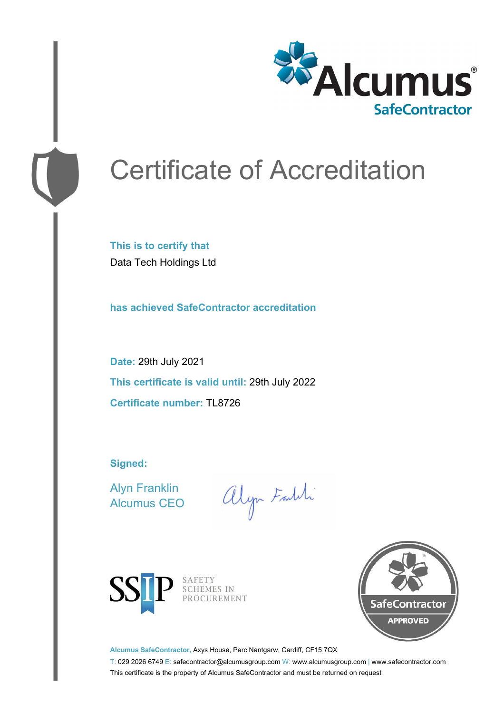

# Certificate of Accreditation

**This is to certify that** Data Tech Holdings Ltd

**has achieved SafeContractor accreditation**

**Date:** 29th July 2021 **This certificate is valid until:** 29th July 2022 **Certificate number:** TL8726

**Signed:**

Alyn Franklin Alcumus CEO

alyn Faith



SAFETY<br>SCHEMES IN PROCUREMENT



**Alcumus SafeContractor,** Axys House, Parc Nantgarw, Cardiff, CF15 7QX

T: 029 2026 6749 E: safecontractor@alcumusgroup.com W: www.alcumusgroup.com | www.safecontractor.com This certificate is the property of Alcumus SafeContractor and must be returned on request